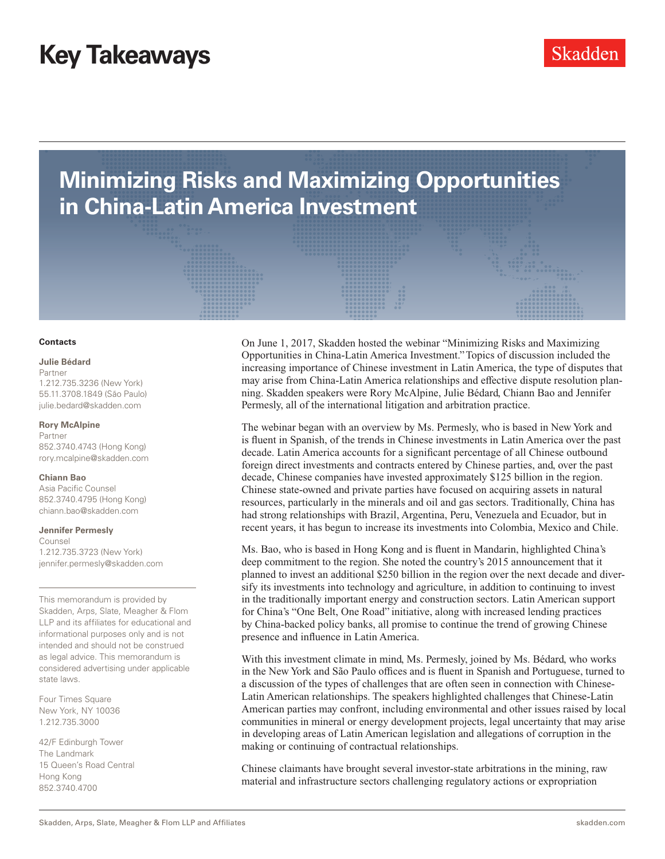**Minimizing Risks and Maximizing Opportunities in China-Latin America Investment** 

#### **Contacts**

## **Julie Bédard**

Partner 1.212.735.3236 (New York) 55.11.3708.1849 (São Paulo) [julie.bedard@skadden.com](mailto:julie.bedard%40skadden.com%0D?subject=Minimizing%20Risks%20and%20Maximizing%20Opportunities%20in%20China-Latin%20America%20Investment)

#### **[Rory McAlpine](mailto:chiann.bao%40skadden.com%0D?subject=Minimizing%20Risks%20and%20Maximizing%20Opportunities%20in%20China-Latin%20America)**

[Partner](mailto:chiann.bao%40skadden.com%0D?subject=Minimizing%20Risks%20and%20Maximizing%20Opportunities%20in%20China-Latin%20America) [852.3740.4743 \(Hong Kong\)](mailto:chiann.bao%40skadden.com%0D?subject=Minimizing%20Risks%20and%20Maximizing%20Opportunities%20in%20China-Latin%20America) [rory.mcalpine@skadden.com](mailto:chiann.bao%40skadden.com%0D?subject=Minimizing%20Risks%20and%20Maximizing%20Opportunities%20in%20China-Latin%20America)

### **[Chiann Bao](mailto:chiann.bao%40skadden.com%0D?subject=Minimizing%20Risks%20and%20Maximizing%20Opportunities%20in%20China-Latin%20America)**

[Asia Pacific Counsel](mailto:chiann.bao%40skadden.com%0D?subject=Minimizing%20Risks%20and%20Maximizing%20Opportunities%20in%20China-Latin%20America) [852.3740.4795 \(Hong Kong\)](mailto:chiann.bao%40skadden.com%0D?subject=Minimizing%20Risks%20and%20Maximizing%20Opportunities%20in%20China-Latin%20America) [chiann.bao@skadden.com](mailto:chiann.bao%40skadden.com%0D?subject=Minimizing%20Risks%20and%20Maximizing%20Opportunities%20in%20China-Latin%20America)

# **Jennifer Permesly**

Counsel 1.212.735.3723 (New York) [jennifer.permesly@skadden.com](mailto:jennifer.permesly%40skadden.com%0D?subject=Minimizing%20Risks%20and%20Maximizing%20Opportunities%20in%20China-Latin%20America%20Investment)

This memorandum is provided by Skadden, Arps, Slate, Meagher & Flom LLP and its affiliates for educational and informational purposes only and is not intended and should not be construed as legal advice. This memorandum is considered advertising under applicable state laws.

Four Times Square New York, NY 10036 1.212.735.3000

42/F Edinburgh Tower The Landmark 15 Queen's Road Central Hong Kong 852.3740.4700

On June 1, 2017, Skadden hosted the webinar "Minimizing Risks and Maximizing Opportunities in China-Latin America Investment." Topics of discussion included the increasing importance of Chinese investment in Latin America, the type of disputes that may arise from China-Latin America relationships and effective dispute resolution planning. Skadden speakers were Rory McAlpine, Julie Bédard, Chiann Bao and Jennifer Permesly, all of the international litigation and arbitration practice.

The webinar began with an overview by Ms. Permesly, who is based in New York and is fluent in Spanish, of the trends in Chinese investments in Latin America over the past decade. Latin America accounts for a significant percentage of all Chinese outbound foreign direct investments and contracts entered by Chinese parties, and, over the past decade, Chinese companies have invested approximately \$125 billion in the region. Chinese state-owned and private parties have focused on acquiring assets in natural resources, particularly in the minerals and oil and gas sectors. Traditionally, China has had strong relationships with Brazil, Argentina, Peru, Venezuela and Ecuador, but in recent years, it has begun to increase its investments into Colombia, Mexico and Chile.

Ms. Bao, who is based in Hong Kong and is fluent in Mandarin, highlighted China's deep commitment to the region. She noted the country's 2015 announcement that it planned to invest an additional \$250 billion in the region over the next decade and diversify its investments into technology and agriculture, in addition to continuing to invest in the traditionally important energy and construction sectors. Latin American support for China's "One Belt, One Road" initiative, along with increased lending practices by China-backed policy banks, all promise to continue the trend of growing Chinese presence and influence in Latin America.

With this investment climate in mind, Ms. Permesly, joined by Ms. Bédard, who works in the New York and São Paulo offices and is fluent in Spanish and Portuguese, turned to a discussion of the types of challenges that are often seen in connection with Chinese-Latin American relationships. The speakers highlighted challenges that Chinese-Latin American parties may confront, including environmental and other issues raised by local communities in mineral or energy development projects, legal uncertainty that may arise in developing areas of Latin American legislation and allegations of corruption in the making or continuing of contractual relationships.

Chinese claimants have brought several investor-state arbitrations in the mining, raw material and infrastructure sectors challenging regulatory actions or expropriation